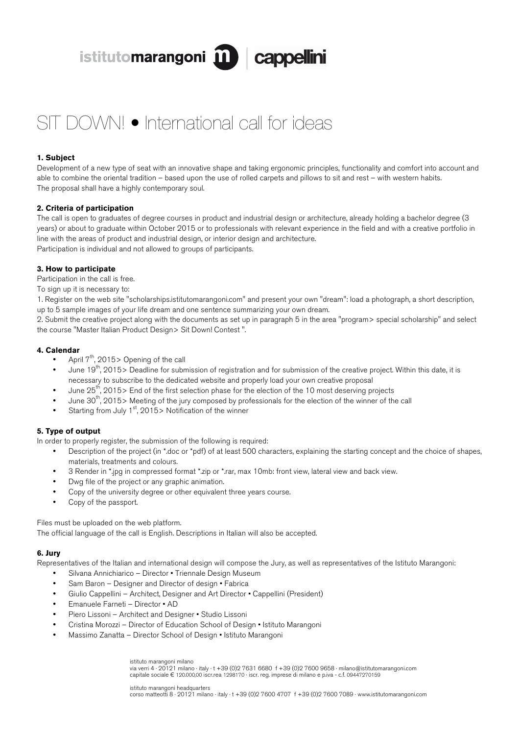istitutomarangoni m cappellini

# SIT DOWN! • International call for ideas

# **1. Subject**

Development of a new type of seat with an innovative shape and taking ergonomic principles, functionality and comfort into account and able to combine the oriental tradition – based upon the use of rolled carpets and pillows to sit and rest – with western habits. The proposal shall have a highly contemporary soul.

## **2. Criteria of participation**

The call is open to graduates of degree courses in product and industrial design or architecture, already holding a bachelor degree (3) years) or about to graduate within October 2015 or to professionals with relevant experience in the field and with a creative portfolio in line with the areas of product and industrial design, or interior design and architecture. Participation is individual and not allowed to groups of participants.

## **3. How to participate**

Participation in the call is free.

#### To sign up it is necessary to:

1. Register on the web site "scholarships.istitutomarangoni.com" and present your own "dream": load a photograph, a short description, up to 5 sample images of your life dream and one sentence summarizing your own dream.

2. Submit the creative project along with the documents as set up in paragraph 5 in the area "program> special scholarship" and select the course "Master Italian Product Design> Sit Down! Contest ".

#### **4. Calendar**

- April  $7<sup>th</sup>$ , 2015> Opening of the call
- June 19<sup>th</sup>, 2015> Deadline for submission of registration and for submission of the creative project. Within this date, it is necessary to subscribe to the dedicated website and properly load your own creative proposal
- June  $25<sup>th</sup>$ , 2015> End of the first selection phase for the election of the 10 most deserving projects
- June  $30<sup>th</sup>$ , 2015> Meeting of the jury composed by professionals for the election of the winner of the call
- Starting from July  $1<sup>st</sup>$ , 2015> Notification of the winner

# **5. Type of output**

In order to properly register, the submission of the following is required:

- Description of the project (in \*.doc or \*pdf) of at least 500 characters, explaining the starting concept and the choice of shapes, materials, treatments and colours.
- 3 Render in \*.jpg in compressed format \*.zip or \*.rar, max 10mb: front view, lateral view and back view.
- Dwg file of the project or any graphic animation.
- Copy of the university degree or other equivalent three years course.
- Copy of the passport.

#### Files must be uploaded on the web platform.

The official language of the call is English. Descriptions in Italian will also be accepted.

#### **6. Jury**

Representatives of the Italian and international design will compose the Jury, as well as representatives of the Istituto Marangoni:

- Silvana Annichiarico Director Triennale Design Museum
- Sam Baron Designer and Director of design · Fabrica
- Giulio Cappellini Architect, Designer and Art Director Cappellini (President)
- Emanuele Farneti Director AD
- Piero Lissoni Architect and Designer Studio Lissoni
- Cristina Morozzi Director of Education School of Design Istituto Marangoni
- Massimo Zanatta Director School of Design Istituto Marangoni

istituto marangoni milano via verri 4 · 20121 milano · italy · t +39 (0)2 7631 6680 f +39 (0)2 7600 9658 · milano@istitutomarangoni.com capitale sociale € 120.000,00 iscr.rea 1298170 · iscr. reg. imprese di milano e p.iva - c.f. 09447270159

istituto marangoni headquarters corso matteotti 8 · 20121 milano · italy · t +39 (0)2 7600 4707 f +39 (0)2 7600 7089 · www.istitutomarangoni.com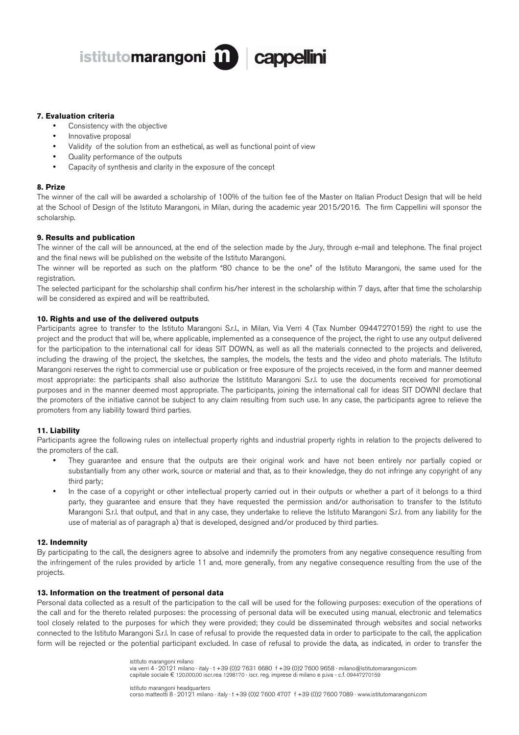

## **7. Evaluation criteria**

- Consistency with the objective
- Innovative proposal
- Validity of the solution from an esthetical, as well as functional point of view
- Quality performance of the outputs
- Capacity of synthesis and clarity in the exposure of the concept

## **8. Prize**

The winner of the call will be awarded a scholarship of 100% of the tuition fee of the Master on Italian Product Design that will be held at the School of Design of the Istituto Marangoni, in Milan, during the academic year 2015/2016. The firm Cappellini will sponsor the scholarship.

# **9. Results and publication**

The winner of the call will be announced, at the end of the selection made by the Jury, through e-mail and telephone. The final project and the final news will be published on the website of the Istituto Marangoni.

The winner will be reported as such on the platform "80 chance to be the one" of the Istituto Marangoni, the same used for the registration.

The selected participant for the scholarship shall confirm his/her interest in the scholarship within 7 days, after that time the scholarship will be considered as expired and will be reattributed.

# **10. Rights and use of the delivered outputs**

Participants agree to transfer to the Istituto Marangoni S.r.l., in Milan, Via Verri 4 (Tax Number 09447270159) the right to use the project and the product that will be, where applicable, implemented as a consequence of the project, the right to use any output delivered for the participation to the international call for ideas SIT DOWN, as well as all the materials connected to the projects and delivered, including the drawing of the project, the sketches, the samples, the models, the tests and the video and photo materials. The Istituto Marangoni reserves the right to commercial use or publication or free exposure of the projects received, in the form and manner deemed most appropriate: the participants shall also authorize the Istitituto Marangoni S.r.l. to use the documents received for promotional purposes and in the manner deemed most appropriate. The participants, joining the international call for ideas SIT DOWN! declare that the promoters of the initiative cannot be subject to any claim resulting from such use. In any case, the participants agree to relieve the promoters from any liability toward third parties.

## **11. Liability**

Participants agree the following rules on intellectual property rights and industrial property rights in relation to the projects delivered to the promoters of the call.

- They guarantee and ensure that the outputs are their original work and have not been entirely nor partially copied or substantially from any other work, source or material and that, as to their knowledge, they do not infringe any copyright of any third party;
- In the case of a copyright or other intellectual property carried out in their outputs or whether a part of it belongs to a third party, they guarantee and ensure that they have requested the permission and/or authorisation to transfer to the Istituto Marangoni S.r.l. that output, and that in any case, they undertake to relieve the Istituto Marangoni S.r.l. from any liability for the use of material as of paragraph a) that is developed, designed and/or produced by third parties.

## **12. Indemnity**

By participating to the call, the designers agree to absolve and indemnify the promoters from any negative consequence resulting from the infringement of the rules provided by article 11 and, more generally, from any negative consequence resulting from the use of the projects.

## **13. Information on the treatment of personal data**

Personal data collected as a result of the participation to the call will be used for the following purposes: execution of the operations of the call and for the thereto related purposes: the processing of personal data will be executed using manual, electronic and telematics tool closely related to the purposes for which they were provided; they could be disseminated through websites and social networks connected to the Istituto Marangoni S.r.l. In case of refusal to provide the requested data in order to participate to the call, the application form will be rejected or the potential participant excluded. In case of refusal to provide the data, as indicated, in order to transfer the

> istituto marangoni milano via verri 4 · 20121 milano · italy · t +39 (0)2 7631 6680 f +39 (0)2 7600 9658 · milano@istitutomarangoni.com capitale sociale € 120.000,00 iscr.rea 1298170 · iscr. reg. imprese di milano e p.iva - c.f. 09447270159

istituto marangoni headquarters corso matteotti 8 · 20121 milano · italy · t +39 (0)2 7600 4707 f +39 (0)2 7600 7089 · www.istitutomarangoni.com